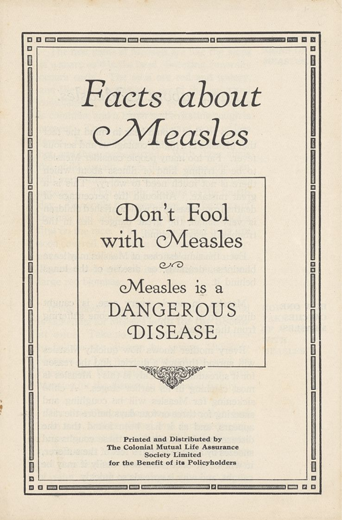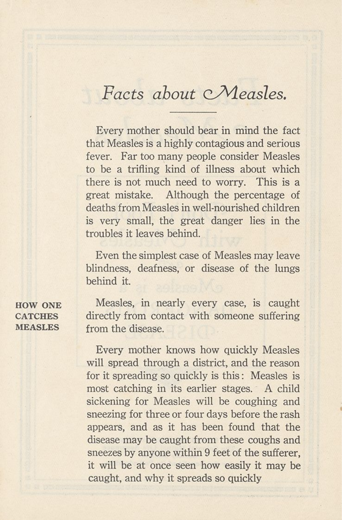## Facts about *Measles*.

Every mother should bear in mind the fact that Measles is a highly contagious and serious fever. Far too many people consider Measles to be a trifling kind of illness about which there is not much need to worry. This is a great mistake. Although the percentage of deaths from Measles in well-nourished children is very small, the great danger lies in the troubles it leaves behind.

Even the simplest case of Measles may leave blindness, deafness, or disease of the lungs behind it.

HOW ONE Measles, in nearly every case, is caught CATCHES directly from contact with someone suffering MEASLES from the disease.

> Every mother knows how quickly Measles will spread through a district, and the reason for it spreading so quickly is this: Measles is most catching in its earlier stages. A child sickening for Measles will be coughing and sneezing for three or four days before the rash appears, and as it has been found that the disease may be caught from these coughs and sneezes by anyone within 9 feet of the sufferer, it will be at once seen how easily it may be caught, and why it spreads so quickly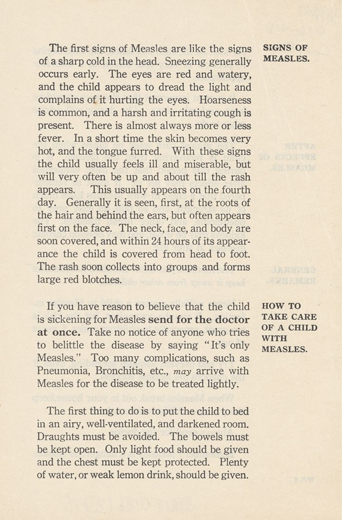The first signs of Measles are like the signs of a sharp cold in the head. Sneezing generally occurs early. The eyes are red and watery, and the child appears to dread the light and complains of it hurting the eyes. Hoarseness is common, and a harsh and irritating cough is present. There is almost always more or less fever. In a short time the skin becomes very hot, and the tongue furred. With these signs the child usually feels ill and miserable, but will very often be up and about till the rash appears. This usually appears on the fourth day. Generally it is seen, first, at the roots of the hair and behind the ears, but often appears first on the face. The neck, face, and body are soon covered, and within 24 hours of its appearance the child is covered from head to foot. The rash soon collects into groups and forms large red blotches.

If you have reason to believe that the child is sickening for Measles **send for the doctor at once.** Take no notice of anyone who tries to belittle the disease by saying "It's only Measles." Too many complications, such as Pneumonia, Bronchitis, etc., *may* arrive with Measles for the disease to be treated lightly.

The first thing to do is to put the child to bed in an airy, well-ventilated, and darkened room. Draughts must be avoided. The bowels must be kept open. Only light food should be given and the chest must be kept protected. Plenty of water, or weak lemon drink, should be given.

HOW TO TAKE CARE OF A CHILD WITH MEASLES.

SIGNS OF **MEASLES.**